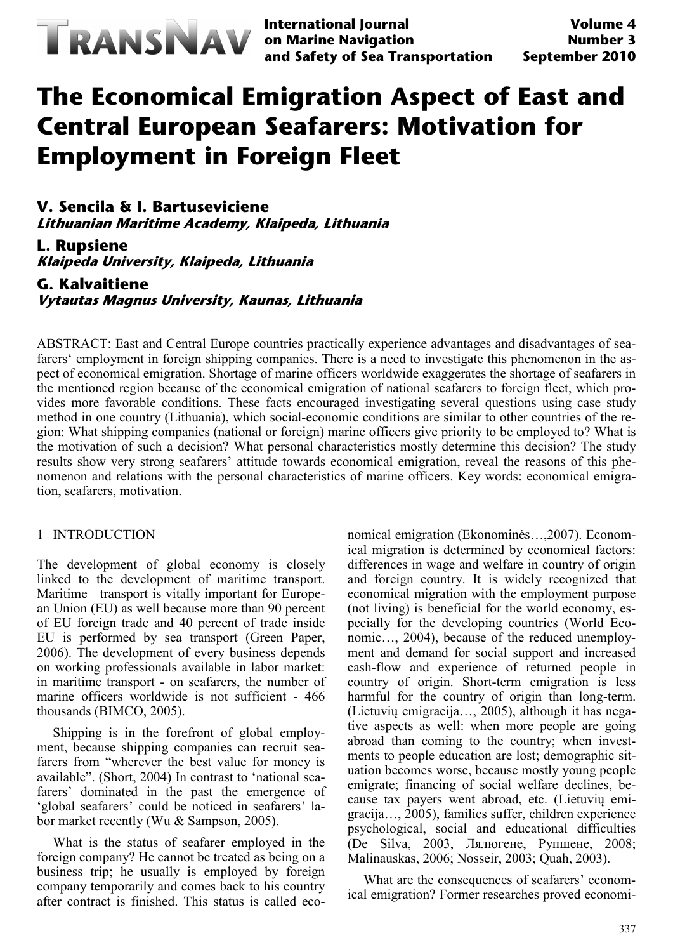

**International Journal on Marine Navigation and Safety of Sea Transportation**

# **The Economical Emigration Aspect of East and Central European Seafarers: Motivation for Employment in Foreign Fleet**

**V. Sencila & I. Bartuseviciene Lithuanian Maritime Academy, Klaipeda, Lithuania**

**L. Rupsiene Klaipeda University, Klaipeda, Lithuania**

**G. Kalvaitiene Vytautas Magnus University, Kaunas, Lithuania**

ABSTRACT: East and Central Europe countries practically experience advantages and disadvantages of seafarers' employment in foreign shipping companies. There is a need to investigate this phenomenon in the aspect of economical emigration. Shortage of marine officers worldwide exaggerates the shortage of seafarers in the mentioned region because of the economical emigration of national seafarers to foreign fleet, which provides more favorable conditions. These facts encouraged investigating several questions using case study method in one country (Lithuania), which social-economic conditions are similar to other countries of the region: What shipping companies (national or foreign) marine officers give priority to be employed to? What is the motivation of such a decision? What personal characteristics mostly determine this decision? The study results show very strong seafarers' attitude towards economical emigration, reveal the reasons of this phenomenon and relations with the personal characteristics of marine officers. Key words: economical emigration, seafarers, motivation.

### 1 INTRODUCTION

The development of global economy is closely linked to the development of maritime transport. Maritime transport is vitally important for European Union (EU) as well because more than 90 percent of EU foreign trade and 40 percent of trade inside EU is performed by sea transport (Green Paper, 2006). The development of every business depends on working professionals available in labor market: in maritime transport - on seafarers, the number of marine officers worldwide is not sufficient - 466 thousands (BIMCO, 2005).

Shipping is in the forefront of global employment, because shipping companies can recruit seafarers from "wherever the best value for money is available". (Short, 2004) In contrast to 'national seafarers' dominated in the past the emergence of 'global seafarers' could be noticed in seafarers' labor market recently (Wu & Sampson, 2005).

What is the status of seafarer employed in the foreign company? He cannot be treated as being on a business trip; he usually is employed by foreign company temporarily and comes back to his country after contract is finished. This status is called economical emigration (Ekonominės…,2007). Economical migration is determined by economical factors: differences in wage and welfare in country of origin and foreign country. It is widely recognized that economical migration with the employment purpose (not living) is beneficial for the world economy, especially for the developing countries (World Economic…, 2004), because of the reduced unemployment and demand for social support and increased cash-flow and experience of returned people in country of origin. Short-term emigration is less harmful for the country of origin than long-term. (Lietuvių emigracija…, 2005), although it has negative aspects as well: when more people are going abroad than coming to the country; when investments to people education are lost; demographic situation becomes worse, because mostly young people emigrate; financing of social welfare declines, because tax payers went abroad, etc. (Lietuvių emigracija…, 2005), families suffer, children experience psychological, social and educational difficulties (De Silva, 2003, Лялюгене, Рупшене, 2008; Malinauskas, 2006; Nosseir, 2003; Quah, 2003).

What are the consequences of seafarers' economical emigration? Former researches proved economi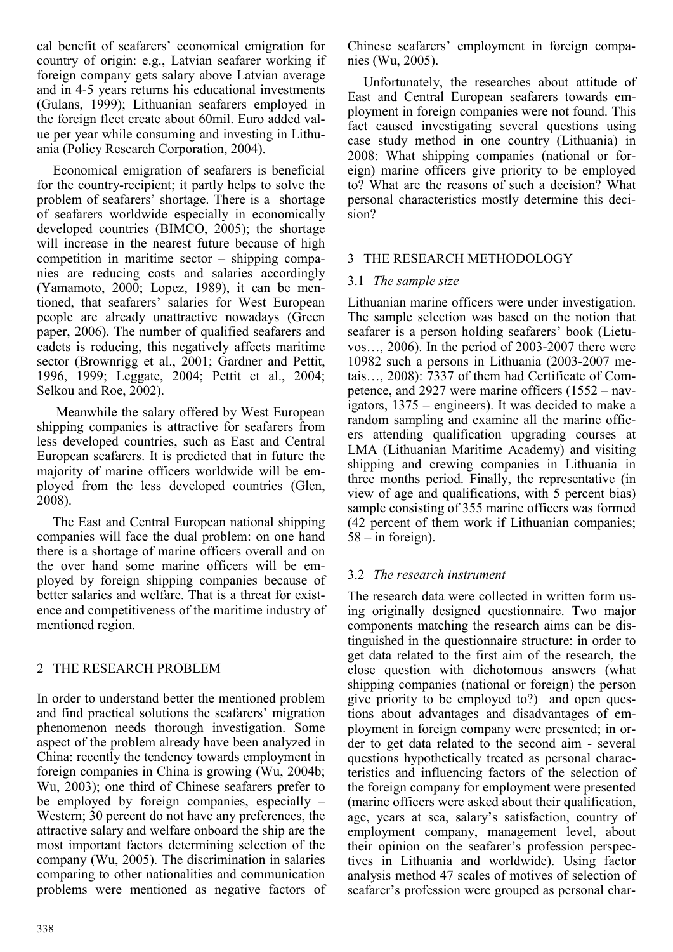cal benefit of seafarers' economical emigration for country of origin: e.g., Latvian seafarer working if foreign company gets salary above Latvian average and in 4-5 years returns his educational investments (Gulans, 1999); Lithuanian seafarers employed in the foreign fleet create about 60mil. Euro added value per year while consuming and investing in Lithuania (Policy Research Corporation, 2004).

Economical emigration of seafarers is beneficial for the country-recipient; it partly helps to solve the problem of seafarers' shortage. There is a shortage of seafarers worldwide especially in economically developed countries (BIMCO, 2005); the shortage will increase in the nearest future because of high competition in maritime sector – shipping companies are reducing costs and salaries accordingly (Yamamoto, 2000; Lopez, 1989), it can be mentioned, that seafarers' salaries for West European people are already unattractive nowadays (Green paper, 2006). The number of qualified seafarers and cadets is reducing, this negatively affects maritime sector (Brownrigg et al., 2001; Gardner and Pettit, 1996, 1999; Leggate, 2004; Pettit et al., 2004; Selkou and Roe, 2002).

Meanwhile the salary offered by West European shipping companies is attractive for seafarers from less developed countries, such as East and Central European seafarers. It is predicted that in future the majority of marine officers worldwide will be employed from the less developed countries (Glen, 2008).

The East and Central European national shipping companies will face the dual problem: on one hand there is a shortage of marine officers overall and on the over hand some marine officers will be employed by foreign shipping companies because of better salaries and welfare. That is a threat for existence and competitiveness of the maritime industry of mentioned region.

# 2 THE RESEARCH PROBLEM

In order to understand better the mentioned problem and find practical solutions the seafarers' migration phenomenon needs thorough investigation. Some aspect of the problem already have been analyzed in China: recently the tendency towards employment in foreign companies in China is growing (Wu, 2004b; Wu, 2003); one third of Chinese seafarers prefer to be employed by foreign companies, especially – Western; 30 percent do not have any preferences, the attractive salary and welfare onboard the ship are the most important factors determining selection of the company (Wu, 2005). The discrimination in salaries comparing to other nationalities and communication problems were mentioned as negative factors of Chinese seafarers' employment in foreign companies (Wu, 2005).

Unfortunately, the researches about attitude of East and Central European seafarers towards employment in foreign companies were not found. This fact caused investigating several questions using case study method in one country (Lithuania) in 2008: What shipping companies (national or foreign) marine officers give priority to be employed to? What are the reasons of such a decision? What personal characteristics mostly determine this decision?

# 3 THE RESEARCH METHODOLOGY

# 3.1 *The sample size*

Lithuanian marine officers were under investigation. The sample selection was based on the notion that seafarer is a person holding seafarers' book (Lietuvos…, 2006). In the period of 2003-2007 there were 10982 such a persons in Lithuania (2003-2007 metais…, 2008): 7337 of them had Certificate of Competence, and 2927 were marine officers (1552 – navigators, 1375 – engineers). It was decided to make a random sampling and examine all the marine officers attending qualification upgrading courses at LMA (Lithuanian Maritime Academy) and visiting shipping and crewing companies in Lithuania in three months period. Finally, the representative (in view of age and qualifications, with 5 percent bias) sample consisting of 355 marine officers was formed (42 percent of them work if Lithuanian companies;  $58 - in foreign$ .

# 3.2 *The research instrument*

The research data were collected in written form using originally designed questionnaire. Two major components matching the research aims can be distinguished in the questionnaire structure: in order to get data related to the first aim of the research, the close question with dichotomous answers (what shipping companies (national or foreign) the person give priority to be employed to?) and open questions about advantages and disadvantages of employment in foreign company were presented; in order to get data related to the second aim - several questions hypothetically treated as personal characteristics and influencing factors of the selection of the foreign company for employment were presented (marine officers were asked about their qualification, age, years at sea, salary's satisfaction, country of employment company, management level, about their opinion on the seafarer's profession perspectives in Lithuania and worldwide). Using factor analysis method 47 scales of motives of selection of seafarer's profession were grouped as personal char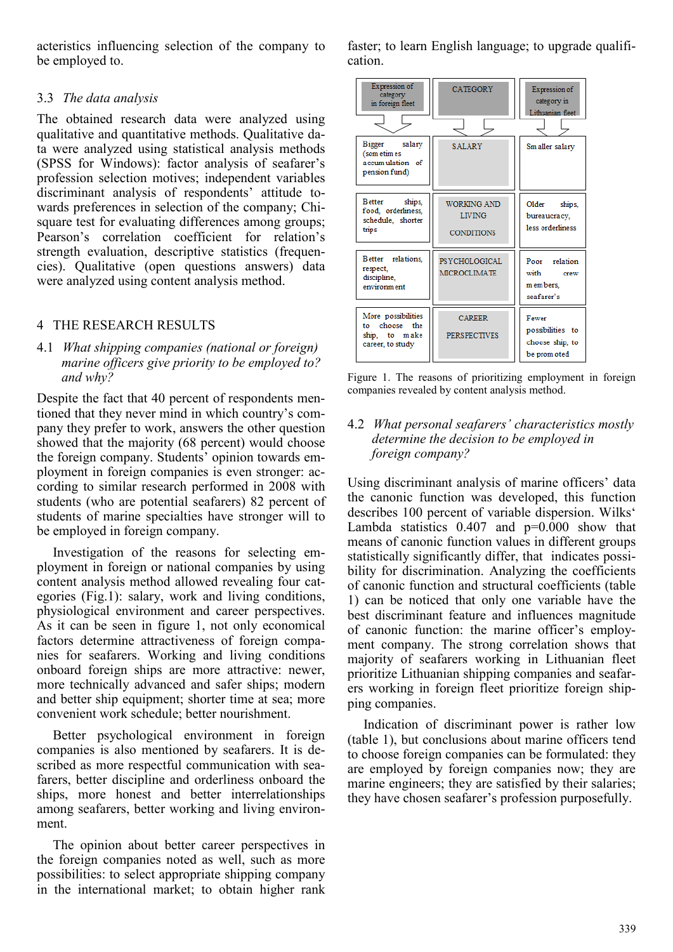acteristics influencing selection of the company to be employed to.

## 3.3 *The data analysis*

The obtained research data were analyzed using qualitative and quantitative methods. Qualitative data were analyzed using statistical analysis methods (SPSS for Windows): factor analysis of seafarer's profession selection motives; independent variables discriminant analysis of respondents' attitude towards preferences in selection of the company; Chisquare test for evaluating differences among groups; Pearson's correlation coefficient for relation's strength evaluation, descriptive statistics (frequencies). Qualitative (open questions answers) data were analyzed using content analysis method.

# 4 THE RESEARCH RESULTS

4.1 *What shipping companies (national or foreign) marine officers give priority to be employed to? and why?*

Despite the fact that 40 percent of respondents mentioned that they never mind in which country's company they prefer to work, answers the other question showed that the majority (68 percent) would choose the foreign company. Students' opinion towards employment in foreign companies is even stronger: according to similar research performed in 2008 with students (who are potential seafarers) 82 percent of students of marine specialties have stronger will to be employed in foreign company.

Investigation of the reasons for selecting employment in foreign or national companies by using content analysis method allowed revealing four categories (Fig.1): salary, work and living conditions, physiological environment and career perspectives. As it can be seen in figure 1, not only economical factors determine attractiveness of foreign companies for seafarers. Working and living conditions onboard foreign ships are more attractive: newer, more technically advanced and safer ships; modern and better ship equipment; shorter time at sea; more convenient work schedule; better nourishment.

Better psychological environment in foreign companies is also mentioned by seafarers. It is described as more respectful communication with seafarers, better discipline and orderliness onboard the ships, more honest and better interrelationships among seafarers, better working and living environment.

The opinion about better career perspectives in the foreign companies noted as well, such as more possibilities: to select appropriate shipping company in the international market; to obtain higher rank faster; to learn English language; to upgrade qualification.



Figure 1. The reasons of prioritizing employment in foreign companies revealed by content analysis method.

## 4.2 *What personal seafarers' characteristics mostly determine the decision to be employed in foreign company?*

Using discriminant analysis of marine officers' data the canonic function was developed, this function describes 100 percent of variable dispersion. Wilks' Lambda statistics  $0.407$  and  $p=0.000$  show that means of canonic function values in different groups statistically significantly differ, that indicates possibility for discrimination. Analyzing the coefficients of canonic function and structural coefficients (table 1) can be noticed that only one variable have the best discriminant feature and influences magnitude of canonic function: the marine officer's employment company. The strong correlation shows that majority of seafarers working in Lithuanian fleet prioritize Lithuanian shipping companies and seafarers working in foreign fleet prioritize foreign shipping companies.

Indication of discriminant power is rather low (table 1), but conclusions about marine officers tend to choose foreign companies can be formulated: they are employed by foreign companies now; they are marine engineers; they are satisfied by their salaries; they have chosen seafarer's profession purposefully.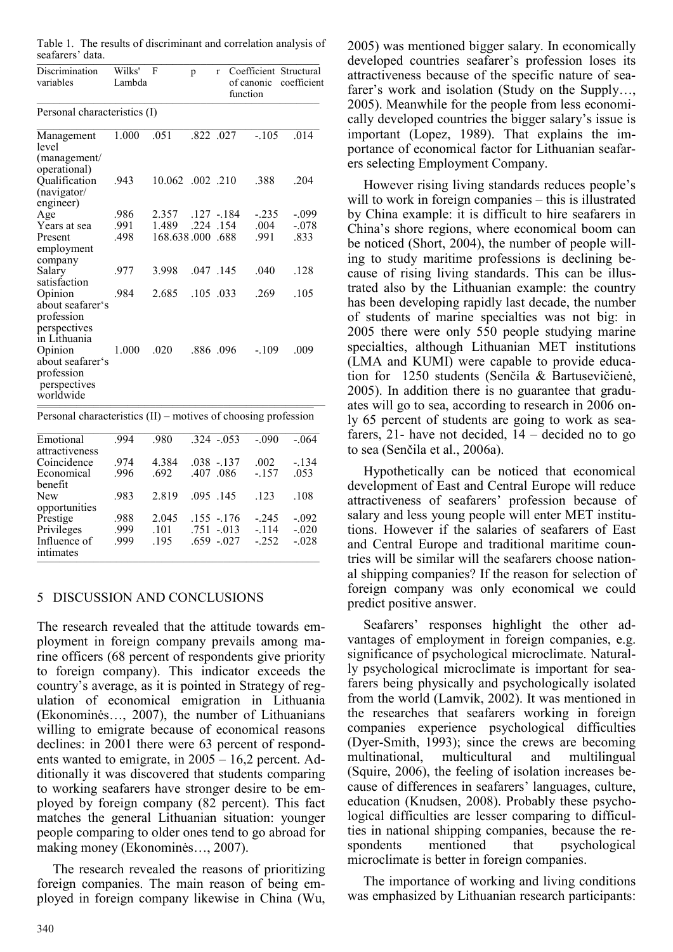|                  | Table 1. The results of discriminant and correlation analysis of |  |  |
|------------------|------------------------------------------------------------------|--|--|
| seafarers' data. |                                                                  |  |  |

| Discrimination<br>variables                                               | Wilks'<br>Lambda | F                | p                    | r    | Coefficient Structural<br>of canonic<br>function | coefficient        |
|---------------------------------------------------------------------------|------------------|------------------|----------------------|------|--------------------------------------------------|--------------------|
| Personal characteristics (I)                                              |                  |                  |                      |      |                                                  |                    |
| Management<br>level<br>(management/                                       | 1.000            | .051             | .822.027             |      | $-105$                                           | .014               |
| operational)<br>Qualification<br>(navigator/                              | .943             | 10.062 .002 .210 |                      |      | .388                                             | .204               |
| engineer)<br>Age<br>Years at sea                                          | .986<br>.991     | 2.357<br>1.489   | $.127 - 184$<br>.224 | .154 | $-.235$<br>.004                                  | $-.099$<br>$-.078$ |
| Present<br>employment                                                     | .498             | 168.638.000 688  |                      |      | .991                                             | .833               |
| company<br>Salary<br>satisfaction                                         | .977             | 3.998            | $.047$ $.145$        |      | .040                                             | .128               |
| Opinion<br>about seafarer's<br>profession<br>perspectives<br>in Lithuania | .984             | 2.685            | $.105$ 033           |      | .269                                             | .105               |
| Opinion<br>about seafarer's<br>profession<br>perspectives<br>worldwide    | 1.000            | .020             | .886.096             |      | $-109$                                           | .009               |

Personal characteristics (II) – motives of choosing profession

| Emotional<br>attractiveness | 994  | .980  | 324 - 053    | $-.090$ | $-.064$ |
|-----------------------------|------|-------|--------------|---------|---------|
| Coincidence                 | .974 | 4.384 | $.038 - 137$ | .002    | $-134$  |
| Economical<br>benefit       | .996 | 692   | .086<br>407  | $-157$  | .053    |
| New<br>opportunities        | .983 | 2.819 | 095 145      | 123     | .108    |
| Prestige                    | .988 | 2.045 | $.155 - 176$ | $-245$  | $-.092$ |
| Privileges                  | 999  | .101  | $.751 - 013$ | $-114$  | $-.020$ |
| Influence of<br>intimates   | 999  | 195   | $.659 - 027$ | $-252$  | $-.028$ |

# 5 DISCUSSION AND CONCLUSIONS

The research revealed that the attitude towards employment in foreign company prevails among marine officers (68 percent of respondents give priority to foreign company). This indicator exceeds the country's average, as it is pointed in Strategy of regulation of economical emigration in Lithuania (Ekonominės…, 2007), the number of Lithuanians willing to emigrate because of economical reasons declines: in 2001 there were 63 percent of respondents wanted to emigrate, in 2005 – 16,2 percent. Additionally it was discovered that students comparing to working seafarers have stronger desire to be employed by foreign company (82 percent). This fact matches the general Lithuanian situation: younger people comparing to older ones tend to go abroad for making money (Ekonominės…, 2007).

The research revealed the reasons of prioritizing foreign companies. The main reason of being employed in foreign company likewise in China (Wu,

2005) was mentioned bigger salary. In economically developed countries seafarer's profession loses its attractiveness because of the specific nature of seafarer's work and isolation (Study on the Supply…, 2005). Meanwhile for the people from less economically developed countries the bigger salary's issue is important (Lopez, 1989). That explains the importance of economical factor for Lithuanian seafarers selecting Employment Company.

However rising living standards reduces people's will to work in foreign companies – this is illustrated by China example: it is difficult to hire seafarers in China's shore regions, where economical boom can be noticed (Short, 2004), the number of people willing to study maritime professions is declining because of rising living standards. This can be illustrated also by the Lithuanian example: the country has been developing rapidly last decade, the number of students of marine specialties was not big: in 2005 there were only 550 people studying marine specialties, although Lithuanian MET institutions (LMA and KUMI) were capable to provide education for 1250 students (Senčila & Bartusevičienė, 2005). In addition there is no guarantee that graduates will go to sea, according to research in 2006 only 65 percent of students are going to work as seafarers, 21- have not decided, 14 – decided no to go to sea (Senčila et al., 2006a).

Hypothetically can be noticed that economical development of East and Central Europe will reduce attractiveness of seafarers' profession because of salary and less young people will enter MET institutions. However if the salaries of seafarers of East and Central Europe and traditional maritime countries will be similar will the seafarers choose national shipping companies? If the reason for selection of foreign company was only economical we could predict positive answer.

Seafarers' responses highlight the other advantages of employment in foreign companies, e.g. significance of psychological microclimate. Naturally psychological microclimate is important for seafarers being physically and psychologically isolated from the world (Lamvik, 2002). It was mentioned in the researches that seafarers working in foreign companies experience psychological difficulties (Dyer-Smith, 1993); since the crews are becoming multinational, multicultural and multilingual (Squire, 2006), the feeling of isolation increases because of differences in seafarers' languages, culture, education (Knudsen, 2008). Probably these psychological difficulties are lesser comparing to difficulties in national shipping companies, because the respondents mentioned that psychological microclimate is better in foreign companies.

The importance of working and living conditions was emphasized by Lithuanian research participants: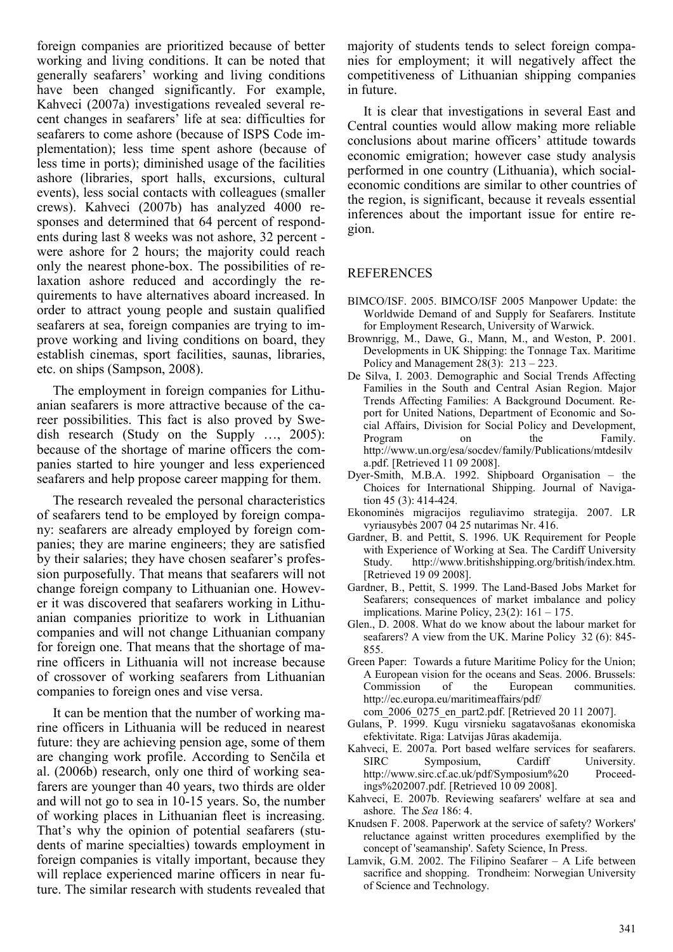foreign companies are prioritized because of better working and living conditions. It can be noted that generally seafarers' working and living conditions have been changed significantly. For example, Kahveci (2007a) investigations revealed several recent changes in seafarers' life at sea: difficulties for seafarers to come ashore (because of ISPS Code implementation); less time spent ashore (because of less time in ports); diminished usage of the facilities ashore (libraries, sport halls, excursions, cultural events), less social contacts with colleagues (smaller crews). Kahveci (2007b) has analyzed 4000 responses and determined that 64 percent of respondents during last 8 weeks was not ashore, 32 percent were ashore for 2 hours; the majority could reach only the nearest phone-box. The possibilities of relaxation ashore reduced and accordingly the requirements to have alternatives aboard increased. In order to attract young people and sustain qualified seafarers at sea, foreign companies are trying to improve working and living conditions on board, they establish cinemas, sport facilities, saunas, libraries, etc. on ships (Sampson, 2008).

The employment in foreign companies for Lithuanian seafarers is more attractive because of the career possibilities. This fact is also proved by Swedish research (Study on the Supply …, 2005): because of the shortage of marine officers the companies started to hire younger and less experienced seafarers and help propose career mapping for them.

The research revealed the personal characteristics of seafarers tend to be employed by foreign company: seafarers are already employed by foreign companies; they are marine engineers; they are satisfied by their salaries; they have chosen seafarer's profession purposefully. That means that seafarers will not change foreign company to Lithuanian one. However it was discovered that seafarers working in Lithuanian companies prioritize to work in Lithuanian companies and will not change Lithuanian company for foreign one. That means that the shortage of marine officers in Lithuania will not increase because of crossover of working seafarers from Lithuanian companies to foreign ones and vise versa.

It can be mention that the number of working marine officers in Lithuania will be reduced in nearest future: they are achieving pension age, some of them are changing work profile. According to Senčila et al. (2006b) research, only one third of working seafarers are younger than 40 years, two thirds are older and will not go to sea in 10-15 years. So, the number of working places in Lithuanian fleet is increasing. That's why the opinion of potential seafarers (students of marine specialties) towards employment in foreign companies is vitally important, because they will replace experienced marine officers in near future. The similar research with students revealed that

majority of students tends to select foreign companies for employment; it will negatively affect the competitiveness of Lithuanian shipping companies in future.

It is clear that investigations in several East and Central counties would allow making more reliable conclusions about marine officers' attitude towards economic emigration; however case study analysis performed in one country (Lithuania), which socialeconomic conditions are similar to other countries of the region, is significant, because it reveals essential inferences about the important issue for entire region.

### **REFERENCES**

- BIMCO/ISF. 2005. BIMCO/ISF 2005 Manpower Update: the Worldwide Demand of and Supply for Seafarers. Institute for Employment Research, University of Warwick.
- Brownrigg, M., Dawe, G., Mann, M., and Weston, P. 2001. Developments in UK Shipping: the Tonnage Tax. Maritime Policy and Management  $28(3)$ :  $213 - 223$ .
- De Silva, I. 2003. Demographic and Social Trends Affecting Families in the South and Central Asian Region. Major Trends Affecting Families: A Background Document. Report for United Nations, Department of Economic and Social Affairs, Division for Social Policy and Development, Program [http://www.un.org/esa/socdev/family/Publications/mtdesilv](http://www.un.org/esa/socdev/family/Publications/mtdesilva.pdf) [a.pdf.](http://www.un.org/esa/socdev/family/Publications/mtdesilva.pdf) [Retrieved 11 09 2008].
- Dyer-Smith, M.B.A. 1992. Shipboard Organisation the Choices for International Shipping. Journal of Navigation 45 (3): 414-424.
- Ekonominės migracijos reguliavimo strategija. 2007. LR vyriausybės 2007 04 25 nutarimas Nr. 416.
- Gardner, B. and Pettit, S. 1996. UK Requirement for People with Experience of Working at Sea. The Cardiff University Study. [http://www.britishshipping.org/british/index.htm.](http://www.britishshipping.org/british/index.htm) [Retrieved 19 09 2008].
- Gardner, B., Pettit, S. 1999. The Land-Based Jobs Market for Seafarers; consequences of market imbalance and policy implications. Marine Policy, 23(2): 161 – 175.
- Glen., D. 2008. What do we know about the labour market for seafarers? A view from the UK. Marine Policy 32 (6): 845- 855.
- Green Paper: Towards a future Maritime Policy for the Union; A European vision for the oceans and Seas. 2006. Brussels: communities. [http://ec.europa.eu/maritimeaffairs/pdf/](http://ec.europa.eu/maritimeaffairs/pdf/%20com_2006_0275_en_part2.pdf.%20%5bRetrieved%2020%2011%20200)

[com\\_2006\\_0275\\_en\\_part2.pdf. \[Retrieved](http://ec.europa.eu/maritimeaffairs/pdf/%20com_2006_0275_en_part2.pdf.%20%5bRetrieved%2020%2011%20200) 20 11 2007].

- Gulans, P. 1999. Kugu virsnieku sagatavošanas ekonomiska efektivitate. Riga: Latvijas Jūras akademija.
- Kahveci, E. 2007a. [Port based welfare services for seafarers.](http://www.itfglobal.org/seafarers-trust/welfarerpt.cfm)<br>SIRC Symposium, Cardiff University. Symposium, Cardiff University. [http://www.sirc.cf.ac.uk/pdf/Symposium%20 Proceed](http://www.sirc.cf.ac.uk/pdf/Symposium%20%20Proceedings%202007.pdf)[ings%202007.pdf.](http://www.sirc.cf.ac.uk/pdf/Symposium%20%20Proceedings%202007.pdf) [Retrieved 10 09 2008].
- Kahveci, E. 2007b. [Reviewing seafarers' welfare at sea and](http://www.sirc.cf.ac.uk/The%20Sea/186%20mar-apr%2007.pdf)  [ashore.](http://www.sirc.cf.ac.uk/The%20Sea/186%20mar-apr%2007.pdf) The *Sea* 186: 4.
- Knudsen F. 2008. Paperwork at the service of safety? Workers' reluctance against written procedures exemplified by the concept of 'seamanship'. Safety Science, In Press.
- Lamvik, G.M. 2002. The Filipino Seafarer A Life between sacrifice and shopping. Trondheim: Norwegian University of Science and Technology.